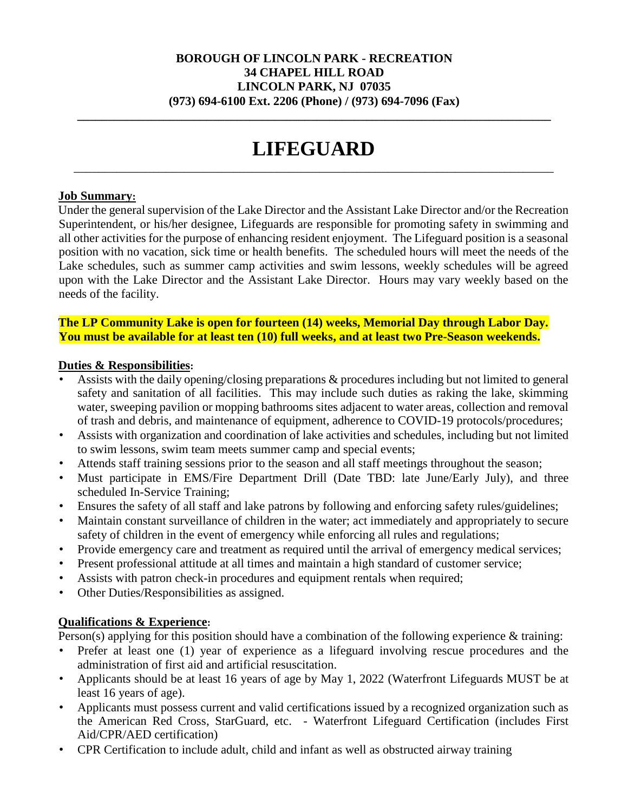#### **BOROUGH OF LINCOLN PARK - RECREATION 34 CHAPEL HILL ROAD LINCOLN PARK, NJ 07035 (973) 694-6100 Ext. 2206 (Phone) / (973) 694-7096 (Fax)**

**\_\_\_\_\_\_\_\_\_\_\_\_\_\_\_\_\_\_\_\_\_\_\_\_\_\_\_\_\_\_\_\_\_\_\_\_\_\_\_\_\_\_\_\_\_\_\_\_\_\_\_\_\_\_\_\_\_\_\_\_\_\_\_\_\_\_\_\_\_\_\_\_\_\_\_\_\_** 

# **LIFEGUARD**  \_\_\_\_\_\_\_\_\_\_\_\_\_\_\_\_\_\_\_\_\_\_\_\_\_\_\_\_\_\_\_\_\_\_\_\_\_\_\_\_\_\_\_\_\_\_\_\_\_\_\_\_\_\_\_\_\_\_\_\_\_\_\_\_\_\_\_\_\_\_\_\_\_\_\_\_\_\_

#### **Job Summary:**

Under the general supervision of the Lake Director and the Assistant Lake Director and/or the Recreation Superintendent, or his/her designee, Lifeguards are responsible for promoting safety in swimming and all other activities for the purpose of enhancing resident enjoyment. The Lifeguard position is a seasonal position with no vacation, sick time or health benefits. The scheduled hours will meet the needs of the Lake schedules, such as summer camp activities and swim lessons, weekly schedules will be agreed upon with the Lake Director and the Assistant Lake Director. Hours may vary weekly based on the needs of the facility.

**The LP Community Lake is open for fourteen (14) weeks, Memorial Day through Labor Day. You must be available for at least ten (10) full weeks, and at least two Pre-Season weekends.** 

#### **Duties & Responsibilities:**

- Assists with the daily opening/closing preparations & procedures including but not limited to general safety and sanitation of all facilities. This may include such duties as raking the lake, skimming water, sweeping pavilion or mopping bathrooms sites adjacent to water areas, collection and removal of trash and debris, and maintenance of equipment, adherence to COVID-19 protocols/procedures;
- Assists with organization and coordination of lake activities and schedules, including but not limited to swim lessons, swim team meets summer camp and special events;
- Attends staff training sessions prior to the season and all staff meetings throughout the season;
- Must participate in EMS/Fire Department Drill (Date TBD: late June/Early July), and three scheduled In-Service Training;
- Ensures the safety of all staff and lake patrons by following and enforcing safety rules/guidelines;
- Maintain constant surveillance of children in the water; act immediately and appropriately to secure safety of children in the event of emergency while enforcing all rules and regulations;
- Provide emergency care and treatment as required until the arrival of emergency medical services;
- Present professional attitude at all times and maintain a high standard of customer service;
- Assists with patron check-in procedures and equipment rentals when required;
- Other Duties/Responsibilities as assigned.

# **Qualifications & Experience:**

Person(s) applying for this position should have a combination of the following experience & training:

- Prefer at least one (1) year of experience as a lifeguard involving rescue procedures and the administration of first aid and artificial resuscitation.
- Applicants should be at least 16 years of age by May 1, 2022 (Waterfront Lifeguards MUST be at least 16 years of age).
- Applicants must possess current and valid certifications issued by a recognized organization such as the American Red Cross, StarGuard, etc. - Waterfront Lifeguard Certification (includes First Aid/CPR/AED certification)
- CPR Certification to include adult, child and infant as well as obstructed airway training